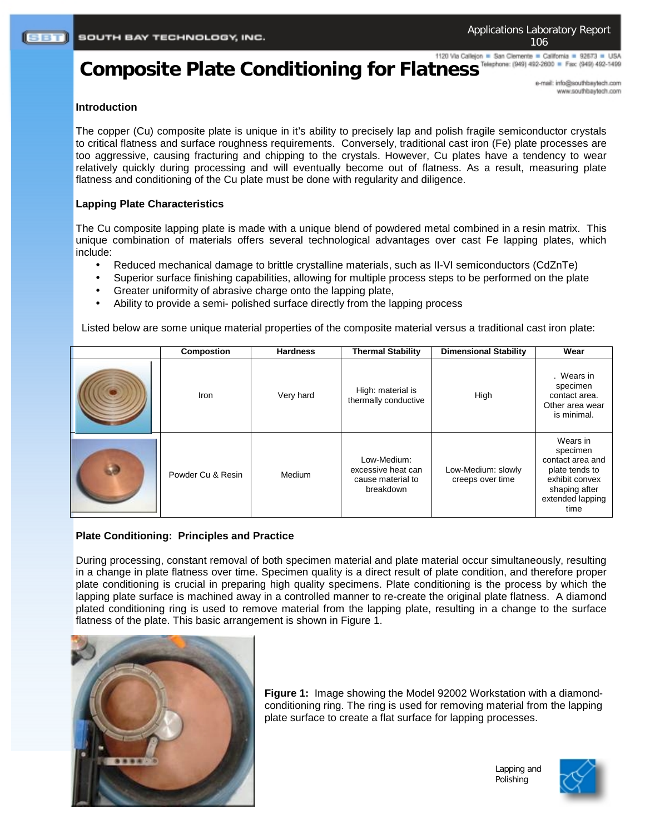## 1120 Via Callejon = San Clemente = California = 92673 = USA

# Composite Plate Conditioning for Flatness<sup>Teleghone: (949) 482-2000 **a** Fax: (949) 482-1499</sup>

e-mail: info@southbaytech.com www.southbaytech.com

#### **Introduction**

The copper (Cu) composite plate is unique in it's ability to precisely lap and polish fragile semiconductor crystals to critical flatness and surface roughness requirements. Conversely, traditional cast iron (Fe) plate processes are too aggressive, causing fracturing and chipping to the crystals. However, Cu plates have a tendency to wear relatively quickly during processing and will eventually become out of flatness. As a result, measuring plate flatness and conditioning of the Cu plate must be done with regularity and diligence.

#### **Lapping Plate Characteristics**

The Cu composite lapping plate is made with a unique blend of powdered metal combined in a resin matrix. This unique combination of materials offers several technological advantages over cast Fe lapping plates, which include:

- Reduced mechanical damage to brittle crystalline materials, such as II-VI semiconductors (CdZnTe)
- Superior surface finishing capabilities, allowing for multiple process steps to be performed on the plate
- Greater uniformity of abrasive charge onto the lapping plate,
- Ability to provide a semi- polished surface directly from the lapping process

Listed below are some unique material properties of the composite material versus a traditional cast iron plate:

| <b>Compostion</b> | <b>Hardness</b> | <b>Thermal Stability</b>                                            | <b>Dimensional Stability</b>           | Wear                                                                                                                      |
|-------------------|-----------------|---------------------------------------------------------------------|----------------------------------------|---------------------------------------------------------------------------------------------------------------------------|
| Iron              | Very hard       | High: material is<br>thermally conductive                           | High                                   | . Wears in<br>specimen<br>contact area.<br>Other area wear<br>is minimal.                                                 |
| Powder Cu & Resin | Medium          | Low-Medium:<br>excessive heat can<br>cause material to<br>breakdown | Low-Medium: slowly<br>creeps over time | Wears in<br>specimen<br>contact area and<br>plate tends to<br>exhibit convex<br>shaping after<br>extended lapping<br>time |

### **Plate Conditioning: Principles and Practice**

During processing, constant removal of both specimen material and plate material occur simultaneously, resulting in a change in plate flatness over time. Specimen quality is a direct result of plate condition, and therefore proper plate conditioning is crucial in preparing high quality specimens. Plate conditioning is the process by which the lapping plate surface is machined away in a controlled manner to re-create the original plate flatness. A diamond plated conditioning ring is used to remove material from the lapping plate, resulting in a change to the surface flatness of the plate. This basic arrangement is shown in Figure 1.



**Figure 1:** Image showing the Model 92002 Workstation with a diamondconditioning ring. The ring is used for removing material from the lapping plate surface to create a flat surface for lapping processes.

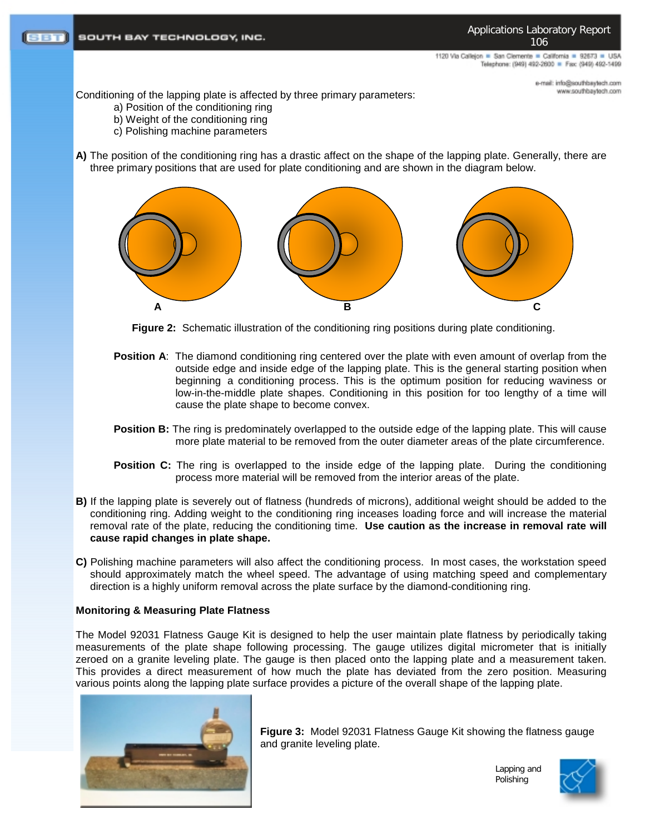1120 Via Callejon = San Clemente = California = 92673 = USA Telephone: (949) 492-2600 = Fax: (949) 492-1499

> e-mail: info@southbaytech.com moo.floeyeedrib.com

Conditioning of the lapping plate is affected by three primary parameters:

- a) Position of the conditioning ring
- b) Weight of the conditioning ring
- c) Polishing machine parameters
- **A)** The position of the conditioning ring has a drastic affect on the shape of the lapping plate. Generally, there are three primary positions that are used for plate conditioning and are shown in the diagram below.



**Figure 2:** Schematic illustration of the conditioning ring positions during plate conditioning.

- **Position A:** The diamond conditioning ring centered over the plate with even amount of overlap from the outside edge and inside edge of the lapping plate. This is the general starting position when beginning a conditioning process. This is the optimum position for reducing waviness or low-in-the-middle plate shapes. Conditioning in this position for too lengthy of a time will cause the plate shape to become convex.
- **Position B:** The ring is predominately overlapped to the outside edge of the lapping plate. This will cause more plate material to be removed from the outer diameter areas of the plate circumference.
- **Position C:** The ring is overlapped to the inside edge of the lapping plate. During the conditioning process more material will be removed from the interior areas of the plate.
- **B)** If the lapping plate is severely out of flatness (hundreds of microns), additional weight should be added to the conditioning ring. Adding weight to the conditioning ring inceases loading force and will increase the material removal rate of the plate, reducing the conditioning time. **Use caution as the increase in removal rate will cause rapid changes in plate shape.**
- **C)** Polishing machine parameters will also affect the conditioning process. In most cases, the workstation speed should approximately match the wheel speed. The advantage of using matching speed and complementary direction is a highly uniform removal across the plate surface by the diamond-conditioning ring.

#### **Monitoring & Measuring Plate Flatness**

The Model 92031 Flatness Gauge Kit is designed to help the user maintain plate flatness by periodically taking measurements of the plate shape following processing. The gauge utilizes digital micrometer that is initially zeroed on a granite leveling plate. The gauge is then placed onto the lapping plate and a measurement taken. This provides a direct measurement of how much the plate has deviated from the zero position. Measuring various points along the lapping plate surface provides a picture of the overall shape of the lapping plate.



**Figure 3:** Model 92031 Flatness Gauge Kit showing the flatness gauge and granite leveling plate.

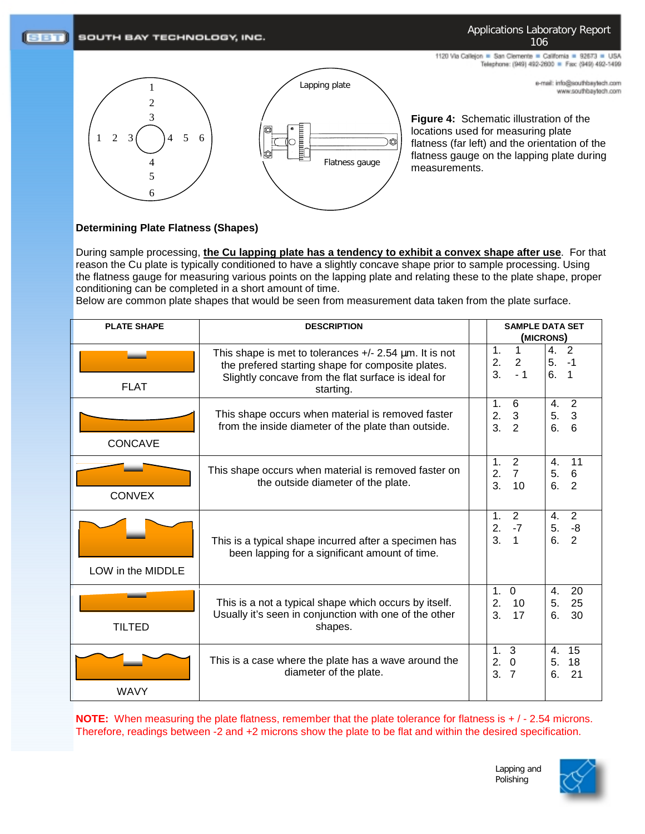#### $(SBT)$ SOUTH BAY TECHNOLOGY, INC.

#### Applications Laboratory Report 106

e-mail: info@southbaytech.com www.southbaytech.com

1120 Via Callejon = San Clemente = California = 92673 = USA Telephone: (949) 492-2600 = Fax: (949) 492-1499





**Figure 4:** Schematic illustration of the locations used for measuring plate flatness (far left) and the orientation of the flatness gauge on the lapping plate during measurements.

#### **Determining Plate Flatness (Shapes)**

During sample processing, **the Cu lapping plate has a tendency to exhibit a convex shape after use**. For that reason the Cu plate is typically conditioned to have a slightly concave shape prior to sample processing. Using the flatness gauge for measuring various points on the lapping plate and relating these to the plate shape, proper conditioning can be completed in a short amount of time.

Below are common plate shapes that would be seen from measurement data taken from the plate surface.

| <b>PLATE SHAPE</b> | <b>DESCRIPTION</b>                                                                                                                                                                    | <b>SAMPLE DATA SET</b><br>(MICRONS)                                             |                                                           |
|--------------------|---------------------------------------------------------------------------------------------------------------------------------------------------------------------------------------|---------------------------------------------------------------------------------|-----------------------------------------------------------|
| <b>FLAT</b>        | This shape is met to tolerances $+/- 2.54 \mu m$ . It is not<br>the prefered starting shape for composite plates.<br>Slightly concave from the flat surface is ideal for<br>starting. | 1 <sub>1</sub><br>$\mathbf{1}$<br>2. 2<br>3.<br>$-1$                            | 4.<br>$\overline{2}$<br>5.<br>$-1$<br>6.<br>1             |
| <b>CONCAVE</b>     | This shape occurs when material is removed faster<br>from the inside diameter of the plate than outside.                                                                              | $\mathbf{1}$ .<br>6<br>$\mathbf{3}$<br>2.<br>3 <sub>1</sub><br>$\overline{2}$   | $\overline{2}$<br>4.<br>$\overline{3}$<br>5.<br>6<br>6.   |
| <b>CONVEX</b>      | This shape occurs when material is removed faster on<br>the outside diameter of the plate.                                                                                            | $\overline{2}$<br>1.<br>$\overline{7}$<br>2.<br>3.<br>10                        | 11<br>4.<br>$\,6\,$<br>5.<br>$\overline{2}$<br>6.         |
| LOW in the MIDDLE  | This is a typical shape incurred after a specimen has<br>been lapping for a significant amount of time.                                                                               | 2<br>$\mathbf{1}$ .<br>$-7$<br>2.<br>3 <sub>l</sub><br>$\overline{1}$           | 2<br>$\mathbf{4}$ .<br>$-8$<br>5.<br>$\overline{2}$<br>6. |
| <b>TILTED</b>      | This is a not a typical shape which occurs by itself.<br>Usually it's seen in conjunction with one of the other<br>shapes.                                                            | $\mathbf 0$<br>1.<br>2.<br>10<br>3.<br>17                                       | 20<br>4.<br>25<br>5.<br>6.<br>30                          |
| <b>WAVY</b>        | This is a case where the plate has a wave around the<br>diameter of the plate.                                                                                                        | 1 <sub>1</sub><br>3<br>2.<br>$\overline{0}$<br>3 <sub>1</sub><br>$\overline{7}$ | 15<br>4.<br>18<br>5.<br>6.<br>21                          |

**NOTE:** When measuring the plate flatness, remember that the plate tolerance for flatness is  $+/-2.54$  microns. Therefore, readings between -2 and +2 microns show the plate to be flat and within the desired specification.



Lapping and Polishing